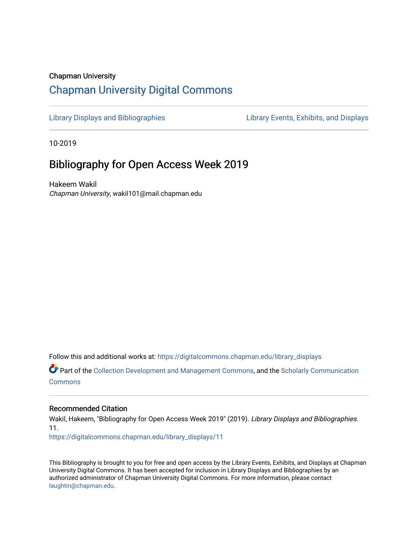## Chapman University [Chapman University Digital Commons](https://digitalcommons.chapman.edu/)

[Library Displays and Bibliographies](https://digitalcommons.chapman.edu/library_displays) Library Events, Exhibits, and Displays

10-2019

# Bibliography for Open Access Week 2019

Hakeem Wakil Chapman University, wakil101@mail.chapman.edu

Follow this and additional works at: [https://digitalcommons.chapman.edu/library\\_displays](https://digitalcommons.chapman.edu/library_displays?utm_source=digitalcommons.chapman.edu%2Flibrary_displays%2F11&utm_medium=PDF&utm_campaign=PDFCoverPages)

Part of the [Collection Development and Management Commons,](http://network.bepress.com/hgg/discipline/1271?utm_source=digitalcommons.chapman.edu%2Flibrary_displays%2F11&utm_medium=PDF&utm_campaign=PDFCoverPages) and the Scholarly Communication **[Commons](http://network.bepress.com/hgg/discipline/1272?utm_source=digitalcommons.chapman.edu%2Flibrary_displays%2F11&utm_medium=PDF&utm_campaign=PDFCoverPages)** 

#### Recommended Citation

Wakil, Hakeem, "Bibliography for Open Access Week 2019" (2019). Library Displays and Bibliographies. 11. [https://digitalcommons.chapman.edu/library\\_displays/11](https://digitalcommons.chapman.edu/library_displays/11?utm_source=digitalcommons.chapman.edu%2Flibrary_displays%2F11&utm_medium=PDF&utm_campaign=PDFCoverPages)

This Bibliography is brought to you for free and open access by the Library Events, Exhibits, and Displays at Chapman University Digital Commons. It has been accepted for inclusion in Library Displays and Bibliographies by an authorized administrator of Chapman University Digital Commons. For more information, please contact [laughtin@chapman.edu.](mailto:laughtin@chapman.edu)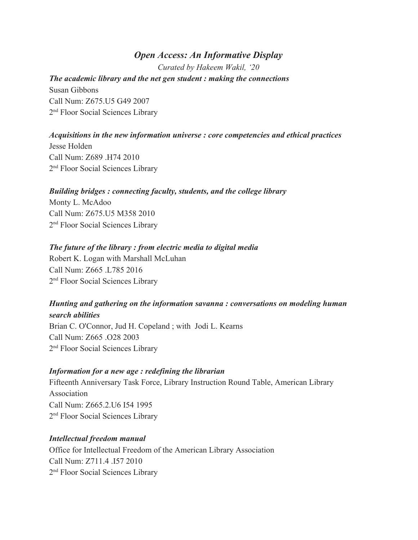## *Open Access: An Informative Display*

*Curated by Hakeem Wakil, '20*

# *The academic library and the net gen student : making the connections*

Susan Gibbons Call Num: Z675.U5 G49 2007 2<sup>nd</sup> Floor Social Sciences Library

## *Acquisitions in the new information universe : core competencies and ethical practices*

Jesse Holden Call Num: Z689 .H74 2010 2<sup>nd</sup> Floor Social Sciences Library

#### *Building bridges : connecting faculty, students, and the college library*

Monty L. McAdoo Call Num: Z675.U5 M358 2010 2<sup>nd</sup> Floor Social Sciences Library

## *The future of the library : from electric media to digital media*

Robert K. Logan with Marshall McLuhan Call Num: Z665 .L785 2016 2<sup>nd</sup> Floor Social Sciences Library

## *Hunting and gathering on the information savanna : conversations on modeling human search abilities*

Brian C. O'Connor, Jud H. Copeland ; with Jodi L. Kearns Call Num: Z665 .O28 2003 2<sup>nd</sup> Floor Social Sciences Library

## *Information for a new age : redefining the librarian*

Fifteenth Anniversary Task Force, Library Instruction Round Table, American Library Association Call Num: Z665.2.U6 I54 1995 2<sup>nd</sup> Floor Social Sciences Library

## *Intellectual freedom manual*

Office for Intellectual Freedom of the American Library Association Call Num: Z711.4 .I57 2010 2<sup>nd</sup> Floor Social Sciences Library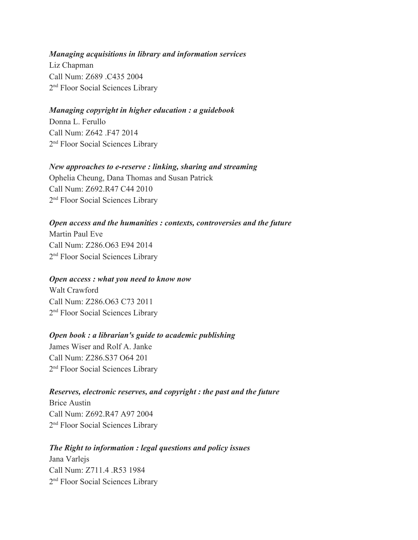#### *Managing acquisitions in library and information services*

Liz Chapman Call Num: Z689 .C435 2004 2<sup>nd</sup> Floor Social Sciences Library

#### *Managing copyright in higher education : a guidebook*

Donna L. Ferullo Call Num: Z642 .F47 2014 2<sup>nd</sup> Floor Social Sciences Library

#### *New approaches to e-reserve : linking, sharing and streaming*

Ophelia Cheung, Dana Thomas and Susan Patrick Call Num: Z692.R47 C44 2010 2<sup>nd</sup> Floor Social Sciences Library

## *Open access and the humanities : contexts, controversies and the future*

Martin Paul Eve Call Num: Z286.O63 E94 2014 2<sup>nd</sup> Floor Social Sciences Library

#### *Open access : what you need to know now*

Walt Crawford Call Num: Z286.O63 C73 2011 2<sup>nd</sup> Floor Social Sciences Library

#### *Open book : a librarian's guide to academic publishing*

James Wiser and Rolf A. Janke Call Num: Z286.S37 O64 201 2<sup>nd</sup> Floor Social Sciences Library

## *Reserves, electronic reserves, and copyright : the past and the future*

Brice Austin Call Num: Z692.R47 A97 2004 2<sup>nd</sup> Floor Social Sciences Library

## *The Right to information : legal questions and policy issues*

Jana Varlejs Call Num: Z711.4 .R53 1984 2<sup>nd</sup> Floor Social Sciences Library